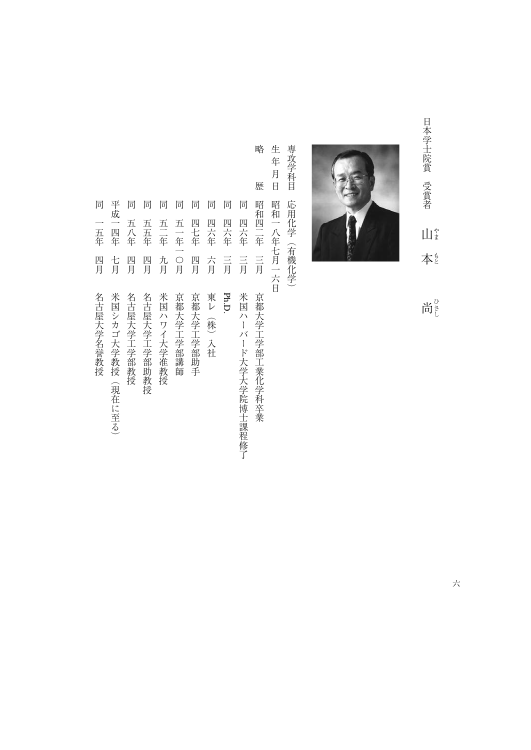日本学士院賞 受賞者 日本学士院賞受賞者山本尚  $\prod_{i=1}^{n}$ 本



尚さ

専攻学科目 専攻学科目応用化学(有機化学) 応用化学(有機化学)

生年月日 生年月日昭和一八年七月一六日 昭和一八年七月一六日

略

歴

- 略歴昭和四二年三月京都大学工学部工業化学科卒業 昭和四二年 言 京都大学工学部工業化学科卒業
- 同
- 同 同四六年三月米国ハーバード大学大学院博士課程修了 四六年 四六年  $\equiv \frac{1}{\overline{H}}$ 米国ハーバード大学大学院博士課程修了
- 同四六年三月四六年 言 Ph.D.
- 一月 こんしゃ ストール・コーヒー ストラン ストラン こうしょう 六月 東レ (株) 入社

四七年

- 同一年一月 万年四月 万年四月 万年四月 万年四月 万年四月 五一年一〇月 四月 京都大学工学部講師 京都大学工学部助手
- 同五一年一月一日 『日本学科学研究』 『日本学研究』 『日本学研究』 『日本学研究』 『日本学研究』 『日本学研究』 『日本学研究』 『日本学研究』 『日本学研究』 『日本学研究』 『日本学研究』 『日本学研究』 『日本学研究』 『日本学研究』 『日本学研究』 『日本学研究』 『日本学研究』 『日本学研究』 『日本学研究』 『日本学研究』 『日本学研究』 五三年 九月 米国ハワイ大学准教授

同五二年九月米国ハワイ大学准教授

- 五五年 四月 名古屋大学工学部助教授
- 同五五年四月名古屋大学工学部助教授 四月 名古屋大学工学部教授

同

同 同 同 同 同

- 一月21日 『日屋大学工学部教授』 『日屋大学工学部教授』 『日屋大学工学部教授』 『日屋大学』 『日屋大学』 『日屋大学』 『日屋大学』 『日屋大学』 『日屋大学』 『日屋大学』 『日屋大学』 『日屋大学』 『日屋大学』 『日屋大学』 『日屋大学』 『日屋大学』 『日屋大学』 『日屋大学』 『日屋大学』 『日屋大学』 『日屋大学』 『日屋大学』 五八年
- 平成一四年 一つ、「大学教授」(現在には「大学教授」(現在による)、「大学教授」(現在による)、「大学教授」(現在による)、「大学教授」(現在による)、「大学教授」(現在による)、「大学教授」(現在による)、「大 七月 米国シカゴ大学教授 (現在に至る)
- 一五年
- 一年四月名古屋大学名誉教授 1988年10月28日 10月28日 10月28日 10月28日 10月28日 10月28日 10月28日 10月28日 10月28日 10月28日 10月28日 10月2 四月 名古屋大学名誉教授

同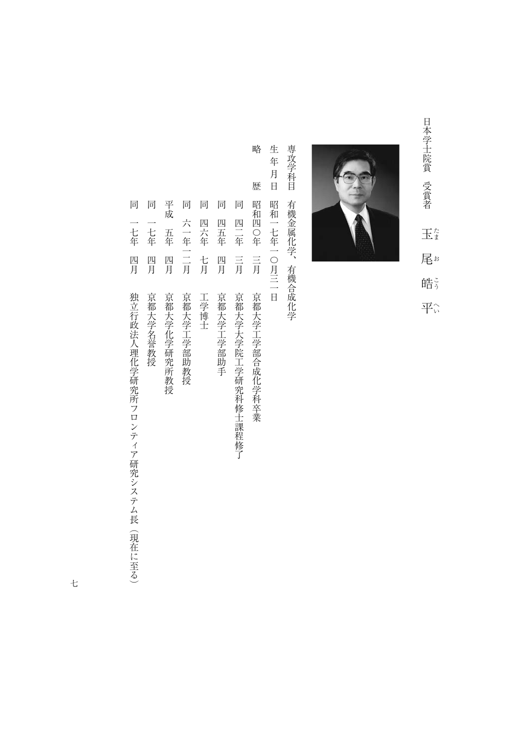日本学士院賞 受賞者 「日本学生活」 コーリード ミ 玉 たまおこうへい 尾# 皓ら 平命



専攻学科目 専攻学科目有機金属化学、有機合成化学 有機金属化学、有機合成化学

生年月日 生年月日昭和一七年一〇月三一日 昭和一七年一〇月三一日

略

- 略歴昭和四〇年三月京都大学工学部合成化学科卒業 歴 昭和四〇年 三月 京都大学工学部合成化学科卒業
- 同 同四二年三月京都大学大学院工学研究科修士課程修了 四年 言 京都大学大学院工学研究科修士課程修了
- 同四五年四月京都大学工学部助手 四五年 四月 京都大学工学部助手

同

- 同 同四六年七月工学博士 四六年 七月 工学博士
- 同 一年一月,我们的学校,我们的学校,我们的学校,我们的学校,我们的学校,我们的学校,我们的学校,我们的学校,我们的学校,我们的学校,我们的学校,我们的学校,我们的学校 六一年一二月 京都大学工学部助教授
- 平成 平成五年四月亮 化二十四烯烷 医二十四烯烷 医二十四烯烷 医二十四烯烷 医二十四烯烷 医二十四烯烷 医二十四烯烷 医二十四烯烷 医二十四烯烷 医二十四烯烷 医二十四烯烷 五年 四月 京都大学化学研究所教授
- 同一七年四月京都大学名誉教授 一七年 四月 京都大学名誉教授

同

同

一七年 四月 独立行政法人理化学研究所フロンティア研究システム長(現在に至る)

同一七年四月独立行政法人理化学研究所フロンティア研究システム長(現在に至る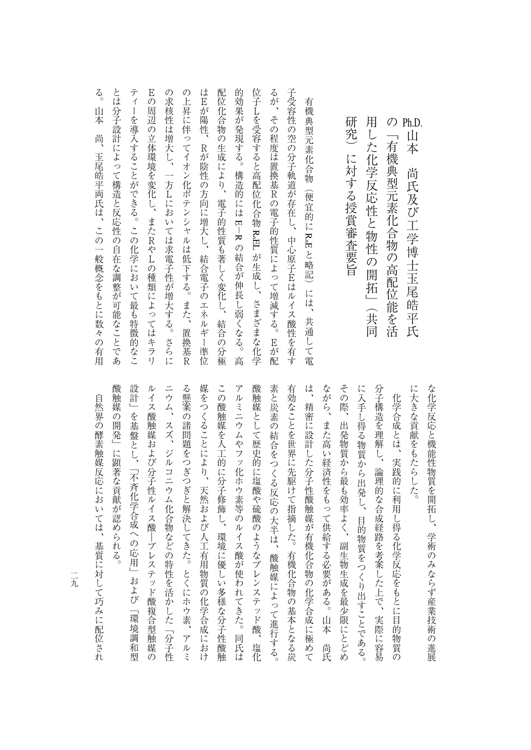| る。<br>山本<br>尚、<br>玉尾皓平両氏は、この一般概念をもとに数々の有用 | とは分子設計によって構造と反応性の自在な調整が可能なことであ | ティ<br>ーを導入することができる。この化学において最も特徴的なこ | Eの周辺の立体環境を変化し、またRやLの種類によってはキラリ | の求核性は増大し、一方Lにおいては求電子性が増大する。<br>さらに | の上昇に伴ってイオン化ポテンシャルは低下する。また、<br>置換基尺 | はEが陽性、<br>$\mathbb R$<br>が陰性の方向に増大し、結合電子のエネルギー準位 | 配位化合物の生成により、電子的性質も著しく変化し、結合<br>1の分極 | 的効果が発現する。構造的には E-R の結合が伸長し弱くなる。<br>高 | 位子Lを受容すると高配位化合物 R,EL が生成し、さまざまな化学 | るが、<br>その程度は置換基Rの電子的性質によって増減する。<br>E が配 | 子受容性の空の分子軌道が存在し、<br>中心原子Eはルイス酸性を有す | 有機典型元素化合物(便宜的に R,E と略記)には、<br>共通して電 |  | 研究<br>に対する授賞審査要旨 | 用<br>した化学反応性と物性の開拓」<br>(共同 | の<br>「有機典型元素化合物の高配位能を活 | Ph.D.<br>山本<br>尚氏及び工学博士玉尾皓平氏 |
|-------------------------------------------|--------------------------------|------------------------------------|--------------------------------|------------------------------------|------------------------------------|--------------------------------------------------|-------------------------------------|--------------------------------------|-----------------------------------|-----------------------------------------|------------------------------------|-------------------------------------|--|------------------|----------------------------|------------------------|------------------------------|
|-------------------------------------------|--------------------------------|------------------------------------|--------------------------------|------------------------------------|------------------------------------|--------------------------------------------------|-------------------------------------|--------------------------------------|-----------------------------------|-----------------------------------------|------------------------------------|-------------------------------------|--|------------------|----------------------------|------------------------|------------------------------|

酸触媒の開発」に顕著な貢献が認められる。 設計」を基盤とし、「不斉化学合成への応用」および「環境調和型 ルイス酸触媒および分子性ルイス酸―ブレステッド酸複合型触媒の ニウム、スズ、ジルコニウム化合物などの特性を活かした「分子性 る懸案の諸問題をつぎつぎと解決してきた。とくにホウ素、アルミ 媒をつくることにより、天然および人工有用物質の化学合成におけ この酸触媒を人工的に分子修飾し、環境に優しい多様な分子性酸触 アルミニウムやフッ化ホウ素等のルイス酸が使われてきた。同氏は 酸触媒として歴史的に塩酸や硫酸のようなブレンステッド酸、塩化 素と炭素の結合をつくる反応の大半は、酸触媒によって進行する。 有効なことを世界に先駆けて指摘した。有機化合物の基本となる炭 は、精密に設計した分子性酸触媒が有機化合物の化学合成に極めて ながら、また高い経済性をもって供給する必要がある。山本 尚氏 その際、出発物質から最も効率よく、副生物生成を最少限にとどめ に入手し得る物質から出発し、目的物質をつくり出すことである。 分子構造を理解し、論理的な合成経路を考案した上で、実際に容易 に大きな貢献をもたらした。 な化学反応と機能性物質を開拓し、学術のみならず産業技術の進展 酸触媒の開発」に顕著な貢献が認められる。 「無限」と、「不行学の伝明」とは、「不斉化学会の応用」として、「環境調和型」ということによる。 ルイス酸<br>ルイス酸<br>ルイス酸の分子性ルイス酸の分子性ルイス酸の分子性ルイス酸の分子性ルイス酸の分子性ルイス酸の分子性ルイス酸化物の分子性ルイス酸化物の分子性ルイス酸化物の分子性ルイス酸化物の分子性化物の分子性化物の分子性化物の分子性化物の分子性化物の分子性化物の分子性化物の分子性化物の分子性化物の分子性化物の分子性化物の分子性化物の分子性化物の分子性化物の分子性化物の分子性化物の分子性化物の分子性化物の分子性化物の分子性化物の分子性化物の ニウム、スズ、ジルコニウム化合物などの特性を活かした「分子性 る続案の諸問題をつぼすことになる。とくにホウ素、アルミホウ素、アルミホウ素、アルミホウ素、アルミホウ素、アルミホウ素、アルミホウ素、アルミホウ素、アルミホウ素、アルミホウ素、アルミホウ素、アルミホウ素、アルミホウ素、アル 大統領の化学会により、天然おより、天然の化学会により、天然の化学合成におけることにより、天然の化学合成におけることにより、天然の化学会により、天然の化学合成におけることにより、天然の化学合成におけるこ この酸触媒を人工的に分子修飾し、環境に優しい多様な分子性酸触 アルミニウムやフッ化ホウ素等のルイス酸は、同化ホウ素等のルイス酸は、同化ホウ素等のルイス酸は、同化ホウ素等のルイス酸は、同化ホウ素等のルイス酸は、同化ホウ素等のルイス酸は、同化ホウ素等のルイス酸は、同 酸触媒として歴史的に塩酸や硫酸のようなブレンステッド酸、塩化 大半は、その大半は、酸繊維によって進行する。 または、酸性によって進行する。 または、酸性によって進行する。 または、酸性によっては、酸性によって使用してはない。 または、酸性によって使用している。 または、酸性によって進行する。 たちには、そのような気がある。 ことは、このような淡淡などの基本となる淡淡などの基本となる影響を使っている。 は、精密に関することができることがある。 しかい こうしゅうしゅうしゅぎ しゅうしゅうしゅうしゅ ながら、また高い経済性をもって供給する必要がある。山本尚氏 その際、出発物質から最も効率よく、副生物生成を最少限にとどめ に入手しては、日本の場合の出来し、目的物質をつくり出すことである。 今年 ライン・スター こうしゅうしょう こうしゅうしゅ こうしゅうしゅ こうしゅうしゅ こうしゅうしゅ に大きな貢献をもたらした。 などには、このようなものでは、学術の基本を開拓し、学術の基本を開拓し、学術の基本を開拓し、学術の基本を開拓し、学術の基本を開拓し、学術の基本を開拓し、学術の基本を開拓した。 化学合成とは、実践的に利用し得る化学反応をもとに目的物質の 自然界の酵素触媒反応においては、基質に対して巧みに配位され 化学の にほん いちのう こうしゅう こうしゅう こうしゅう こうしゅう こうしゅう こうしゅう こうしゅう こうしゅう こうしゅう こうしゅう こうしゅう こうしゅう こうしゅう こうしゅう

二元

自然界の ほうしゅう あいこう はんしゅう こうしゅう こうしゅう こうしゅう こうしゅう こうしゅう こうしゅう こうしゅう こうしゅう こうしゅう こうしゅう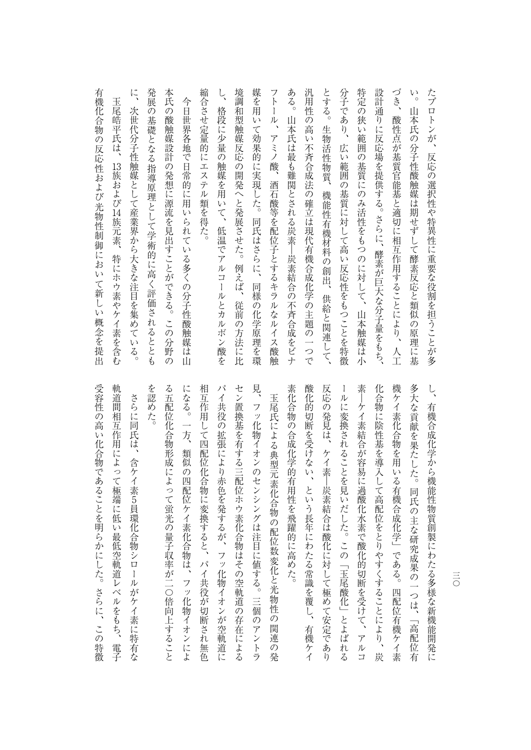ある。山本氏は最も難関とされる炭素―炭素結合の不斉合成をビナ づき、  $\mathop{\vee}\limits_{\circ}^{\mathop{\vee}\limits_{\circ}^{\mathop{\vee}}}$ に、次世代分子性触媒として産業界から大きな注目を集めている。 本氏の酸触媒設計の発想に源流を見出すことができる。この分野の 縮合させ定量的にエステル類を得た。 境調和型触媒反応の開発へと発展させた。例えば、従前の方法に比 媒を用いて効果的に実現した。同氏はさらに、同様の化学原理を環 フトール、アミノ酸、 汎用性の高い不斉合成法の確立は現代有機合成化学の主題の一つで とする。 分子であり、 特定の狭い範囲の基質にのみ活性をもつのに対して、山本触媒は小 設計通りに反応場を提供する。さらに、酵素が巨大な分子量をもち、 たプロトンが、 発展の基礎となる指導原理として学術的に高く評価されるととも に、次世代の大きな注目を集めている。 このこと こうしゅうしょう こうしょうしょう しょうしょう こうしゅうしょう 発展の基礎となる指導原理として学術的に高く評価されるととも 本氏の戦闘に帰属する。この分野の最もある。この分野の最もある。この分野の最もある。この分野の最もある。この分野の最もある。この分野の最もある。この分野の最もある。この分野の最もある。この分野の最もある 縮合させ定量的にエステル類を得た。 し、その場合の細胞を用いて、低温でアルゴールとカルボン酸を用いているのは、低温でアルボン酸を用いているのは、低温でアルボン酸を用いているのは、低温でアルボン酸を用いているのは、低温でアルボン酸を用いて 場合の開発がある。 焼き しゅうしゅう しゅうしゅう しゅうしゅう しゅうしゅうしゅうしゅ **『精神』の「学習を実現」の「学習を実現」の「学習を実現」の「学習を実現」の「学習を実現」の「学習を実現」の「学習を実現」の「学習を実現」の「学習を実現」の「学習を実現」の「学習を実現」の「学習を実現」の「学習を実現」の「** フトール ストール こうしょう アミノス こうしょう こうしょう こうしょう こうしゃ こうしゃ こうしゃ こうしゃ こうしゃ アミノキ アミノキ かんこう こうしゃ アミノキ かんこう こうしゃ こうしゃ こうしゃ アミノキ かんこう こうしゃ アミノキ かんこう こうしゃ アミノキ かんこう こうしゃ こうしゃ こうしゃ 。山本氏は最も驚きのために、その大きな影合の大きな影合の大きな影合の大きな影合の大きな影合の大きな影合の大きな影合の大きな影合の大きな影合の大きな影合の大きな影合の大きな影合の大きな影合の大きな影合の インター アクセス こうしゅう こうしゅう こうしゅう こうしゅう こうしゅう こうしゅう こうしゅう として、生物活性的には、生物活性の制度による。生物活性の制度には、生物活性の制度による。生物活性の制度による。生物活性の制度による。生物活性の制度による。生物活性の制度による。 分子であり、広い範囲の基質に対して高い反応性をもつことを特徴 特定の場合は、自分の基質にのみが特定の基質に対して、自分の基質に対して、自分の基質に対して、自分の基質に対して、自分の基質に対して、自分の基質に対して、自分の基質に対して、自分の基質に対して、自分の基 設計通りに反応場を提供する。さらに、酵素が巨大な分子量をもち、 づき、酸性点が基質官能基と適切に相互作用することにより、人工 い。山本氏の分子性酸触媒は期せずして酵素反応と類似の原理に基 たプロトンが、反応の選択性や特異性に重要な役割を担うことが多 玉尾皓平氏は、 今日世界各地で日常的に用いられている多くの分子性酸触媒は山 格段に少量の触媒を用いて、低温でアルコールとカルボン酸を 玉尾皓平氏は、今日世界各地で日常的に用いられている多くの分子性酸触媒は山 山本氏の分子性酸触媒は期せずして酵素反応と類似の原理に基 酸性点が基質官能基と適切に相互作用することにより、人工 生物活性物質、機能性有機材料の創出、 広い範囲の基質に対して高い反応性をもつことを特徴 反応の選択性や特異性に重要な役割を担うことが多 13おとび 酒石酸等を配位子とするキラルなルイス酸触 14族元素、特にホウ素やケイ素を含む 特にホウ素やケイ素を含む 供給と関連して、

> を認めた。 パイ共役の拡張により赤色を発するが、フッ化物イオンが空軌道に 見 機ケイ素化合物を用いる有機合成化学」である。四配位有機ケイ素 多大な貢献を果たした。同氏の主な研究成果の一つは、「高配位  $\zeta$ る五配位化合物形成によって蛍光の量子収率が二〇倍向上すること になる。一方、類似の四配位ケイ素化合物は、 相互作用して四配位化合物に変換すると、パイ共役が切断され無色 セン置換基を有する三配位ホウ素化合物はその空軌道の存在による 素化合物の合成化学的有用性を飛躍的に高めた。 酸化的切断を受けない、という長年にわたる常識を覆し、有機ケイ 反応の発見は、ケイ素―炭素結合は酸化に対して極めて安定であり ールに変換されることを見いだした。この「玉尾酸化」とよばれる 素―ケイ素結合が容易に過酸化水素で酸化的切断を受けて、アルコ 化合物に陰性基を導入して高配位をとりやすくすることにより、 る五配位化合物形成によっては、そのことは、そのことは、そのことは、そのことは、そのことは、そのことは、そのことは、そのことは、そのことは、そのことは、そのことは、そのことは、そのことは、そのことは、そ になる。一方、類似の四配位ケイ素化合物は、フッ化物イオンによ 相互作用して四配位化合物に変換すると、パイ共役が切断され無色 パイ共党 パイポン ストラン アンディー・アン しゅうしゅう しゅうしゅう こうしゅう こうしゅう こうしゅう こうしゅう こうしゅう こうしゅう こうしゅう こうしゅう セン書 ちゅうしゅ こうしゅうしゅ こうしゅうしゅ こうしゅうしゅ こうしゅうしゅ かいしゅうしゅ し、フッ化物イオンのセンシングは、このアントラングは、このアントラングは、このアントラングは、このアントラングは、このアントラングは、このアントラングは、このアントランダは、このアントランダは、このア 素化合物の合成化学的有用性を飛躍的に高めた。 We can consider the constant of the constant of the constant of the constant of the constant of the constant o 反応の発見は、ケイ素―炭素結合は酸化に対して極めて安定であり ールには、この「玉尾酸化」とは、この「玉尾酸化」とは、この「玉尾酸化」とは、この「玉尾酸化」とは、この「玉尾酸化」とは、この「玉尾酸化」とは、この「玉尾酸化」とは、この「玉尾酸化」とは、この「玉尾酸化 トーム 大きな スープ・スープ こうしゅう こうしゅうしゅ アルコール・アルコール 化合物に陰性基を導入して高配位をとりやすくすることにより、炭 人名の こうしょう こうしょう こうしゅう こうしゅう こうしゅう こうしゅう こうしゅう こうしゅう こうしゅう こうしゅう こうしゅう こうしゅう こうしゅう こうしゅう 大なことには、「高配位有限に、「高配位有限」の一つは、「高配位有限」の「高配位有限」ということによる。 し、有機能開発における多様な新機能開発における多様な新機能開発における多様な新機能開発における多様な新機能開発における多様な新機能開発における多様な新機能開発における多様な新機能開発における多様な新機 玉尾氏による典型元素化合物の配位数変化と光物性の関連の発 フッ化物イオンのセンシングは注目に値する。三個のアントラ 有機合成化学から機能性物質創製にわたる多様な新機能開発に 玉尾氏による 一般な こうしゃ こうしゅう こうしゅう こうしゅう こうしゅう こうしゅう こうしゅう フッ化物イオンによ 炭 有

受容性の高い化合物であることを明らかにした。さらに、この特徴 軌道間相互作用によって極端に低い最低空軌道レベルをもち、 ついて しゅうしゅう こうしゅう こうしゅう こうしゅう こうしゅう こうしょう こうしょう こうしょう こうしょう こうしょう したい しゅうしょう しゅうしゅう こうしゅう こうしゅう こうしゅう こうしゅう こうしゅう こうしゅう こうしゅう こうしゅう こうしゅう こうしゅう こうしゅう さらに同氏は、含ケイ素5員環化合物シロールがケイ素に特有な さらに こうしょう こうしょう こうしょう こうしょう こうしょう こうしゃ こうしゃ こうしゃ アイス・コーヒー こうしゃ アイス・コーヒー かんこう かんしゃ アイス・コーヒー かんこう かんしゃ 電子

 $\ddot{\phantom{a}}$ 

有機化合物の反応性 あいまつ かいしゅう こうしゅう こうしゅう こうしゅう こうしゅう こうしゅう こうしゅう こうしゅう こうしゅう こうしゅう こうしゅう こうしゅう こうしゅう

有機化合物の反応性および光物性制御において新しい概念を提出

 $\equiv$ 三〇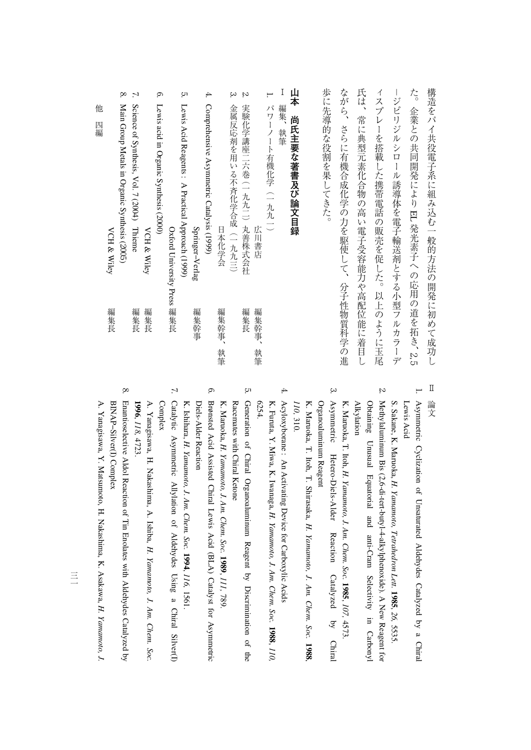| 編集長<br>編集長<br>編集長  | ŏ.<br>$\mathcal{L}$<br>Ġ.<br>Main Group Metals in Organic Synthesis (2005)<br>Science of Synthesis, Vol. 7 (2004) Thieme<br>Lewis acid in Organic Synthesis (2000)<br>他<br>四編<br><b>VCH &amp; Wiley</b><br><b>VCH &amp; Wiley</b> |
|--------------------|-----------------------------------------------------------------------------------------------------------------------------------------------------------------------------------------------------------------------------------|
| 編集幹事               | Ċ,<br>4.<br>Comprehensive Asymmetric Catalysis (1999)<br>Lewis Acid Reagents: A Practical Approach (1999)<br>Springer-Verlag<br>Oxford University Press 編集長                                                                       |
| 編集幹事、<br>編集長<br>執筆 | Ņ,<br>ب<br>実験化学講座二六巻 (一九九二) 丸善株式会社<br>金属反応剤を用いる不斉化学合成(一九九三)<br>日本化学会                                                                                                                                                              |
| 編集幹事、<br>執筆        | 歩に先導的な役割を果してきた。<br>山本<br>Ι<br>⊢.<br>パワーノート有機化学(一九九一)<br>編集、<br>尚氏主要な著書及び論文目録<br>執筆<br>広川書店                                                                                                                                        |
|                    | ながら、<br>さらに有機合成化学の力を駆使して、分子性物質科学の進                                                                                                                                                                                                |
|                    | 氏は、<br>常に典型元素化合物の高い電子受容能力や高配位能に着目し                                                                                                                                                                                                |
|                    | ィスプレーを搭載した携帯電話の販売を促した。以上のように玉尾                                                                                                                                                                                                    |
|                    | 構造をパイ共役電子系に組み込む一般的方法の開発に初めて成功し<br>た。企業との共同開発により EL 発光素子への応用の道を拓き、2,5<br>-ジピリジルシロール誘導体を電子輸送剤とする小型フルカラーデ                                                                                                                            |

 $^\infty$ 

Enantioselective

Aldol

Reaction

<u>ຊ</u> Tin

Enolates

with

Aldehydes

**Catalyzed** 

 $\mathsf{\tilde{a}}$ 

A.

Yanagisawa,

BINAP−Silver(I)BINAP-Silver(I) Complex

Y.

Matsumoto

, H.

Nakashima,

K.

Asakawa,

*H.* 

*Yamamoto,*

 *J.*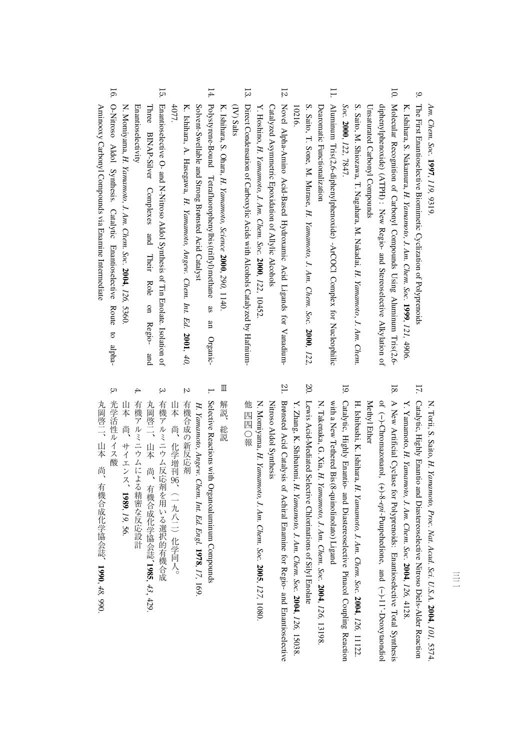*Am. Chem. Soc.* **1997**, *119,* 9319.

- 9. K. Ishihara, S. Nakamura, The First Enantioselective Biomimetic Cyclization<u>ຊ</u> **Polyprenoids** *H. Yamamoto, J. Am. Chem. Soc.* **1999**, *121,* 4906.
- 10. Molecular Recognition<u>ຊ</u> **Carbony Compounds**  Using Aluminum Tris(2,6- UnsaturatedUnsaturated Carbonyl Compounds **Compounds** diphenylphenoxide) (ATPH) : New Regio- and Stereoselective Alkylation<u>ຊ</u>

S. Saito, M. Shiozawa, T. Nagahara, M. Nakadai, *H. Yamamoto*, *J. Am. Chem. Soc.* **2000**, *122,* 7847.

11. Dearomatic Functionalization DearomaticAluminum Tris(2,6-diphenylphenoxide) Functionalization -ArCOCl Complex forNucleophilic

S. Saito, T. Sone, M. Murase, *H. Yamamoto, J. Am. Chem. Soc.* **2000**, *122,* 10216.

- 12. Y. Hoshino, Catalyzed Asymmetric Epoxidation<u>ຊ</u> Allylic Alcohols Novel Alpha-Amino Acid-Based Hydroxamic Acid Ligands for Vanadium-*H. Yamamoto, J. Am. Chem. Soc.* **2000**, *122,* 10452.
- 13. (IV) Salts Direct Condensation of**Carboxylic**  Acids with Alcohols**Catalyzed**  byHafnium-

K. Ishihara, S. Ohara, *H. Yamamoto, Science* **2000**, *290,* 1140. 14. Polystyrene-Bound Tetrafluorophenylbis(triflyl)methane asan

Solvent-Swellable and Strong Br /onsted Acid**Catalyst** K. Ishihara, A. Hasegawa, **H.** *Yamamoto, Angew. Chem. Int. Ed.* **2001**, *40,* 4077.

- 15. Enantioselectivity Enantioselectivity ThreeEnantioselective BINAP-Silver O- and N-Nitroso Complexes Aldol Synthesis and Their of Role Tin Enolate. on Regio- Isolation and <u>ຊ</u>
- N. Momiyama, *H. Yamamoto, J. Am. Chem. Soc.* **2004**, *126,* 5360. 16. Aminooxy**Carbony Compounds**  via Enamine Intermediate O-Nitroso Aldol Synthesis.**Catalytic**  Enantioselective Routeto alpha-

N. Torii, S. Saito, *H. Yamamoto, Proc. Nat. Acad. Sci. U.S.A.* **2004**, *101,*

- 
- I. Candly d. Highen Into annotation (, r)-8-optimerand 1, And 100 (, 15). The proposarion of  $\sim$  2004, 125, 1308, 127, 1308, 127, 1308, 128, 1400, 1400, 1400, 1400, 1400, 1400, 1400, 1400, 1400, 1400, 1400, 1400, 1400, 1
	-
	-
	-
	-
	-

Organic-

- 
- 
- 
- 
- 
- 

丸岡啓二、山本尚、有機合成化学協会誌、**1990**, *48,* 990.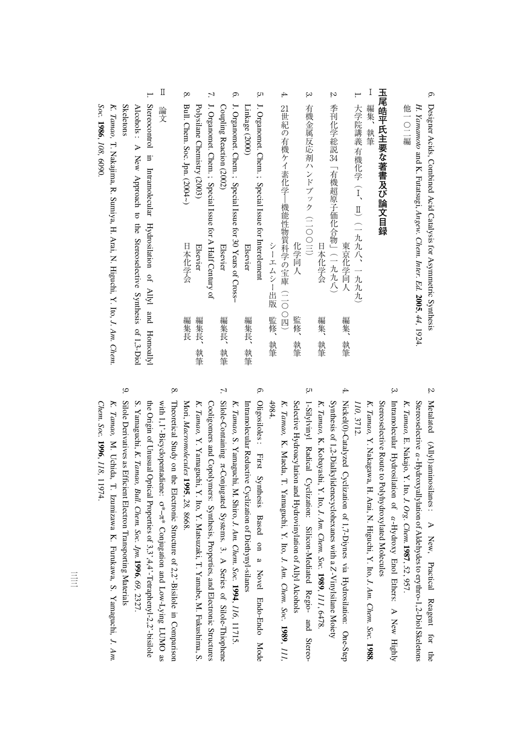| 他一〇二編 | H. Yamamoto and K. Futatsugi, Angew. Chem. Inter. Ed. 2005, 44, 1924. | 6. Designer Acids, Combined Acid Catalysis for Asymmetric Synthesi |
|-------|-----------------------------------------------------------------------|--------------------------------------------------------------------|

## 玉尾皓平氏主要な著書及び論文目録 **エヌトロ 『玉尾絵『玉尾絵』 『玉尾絵』 『玉尾絵』 『玉尾絵』 『玉尾絵』 『玉尾絵』 『玉尾絵』 『玉尾絵』 『玉尾絵』 『玉尾絵』 『玉尾絵』 『玉尾絵』 『玉尾絵』 『玉尾絵』 『玉尾絵』 『玉尾絵』 『玉尾絵』 『玉尾絵』 『玉尾絵』 『玉尾絵』 『玉尾絵』 『玉尾絵』 『玉尾絵』 『玉尾絵』 『玉尾絵』 『玉尾絵』 『玉尾絵』 『玉尾絵』 『玉尾絵』 『玉尾絵』 『玉尾絵』 『玉尾絵』 『玉尾絵』 『玉尾絵』 『玉尾絵』**

- $\mathbf I$ Ⅰ編集、執筆 編集、執筆
- 1. 大学院講義 有機化学 (Ⅰ、Ⅱ) (一九九八、一九九九) 大学院講義有機化学(Ⅰ、Ⅱ)(一九九八、一九九九)
- <u>ب</u> 4.  $\sim$  $\overline{c}$ 21世紀の有機ケイ素化学―機能性物質科学の宝庫(二〇〇四) 有機金属反応剤ハンドブック (二〇〇三) 季刊化学総説34「有機超原子価化合物」(一九九八) J. 一緒金属 スページ・コンド こうしょう こうしょう 季刊化学総説Organomet.世紀の有機ケイ素化学―機能性物質科学の宝庫(二〇〇四) Chem. ; Special「有機認用」(一九八)の「有機認用」(一九八)の「有機認用」(一九八)の「有機認用」(一九)の「有機認用」(一九)の「有機認用」(一九)の「有機認用」(一九)の「有機認用」(一九)の「有機認用」(一九 Issue for Interelement シーエムシー出版 監修、執筆 化学同人 日本化学会 東京化学同人 シーエムシー出版監修、執筆 化学同人監修、執筆 日本化学会編集、教授会編集、教授会編集、教授会編集、教授会編集、教授会編集、教授会編集、教授会編集、教授会編集、教授会編集、教授会編集、教授会編集、教授会編集、教授会編集、教授会編集、教授会編集、教授 大学の 大学 こうしょう こうしゅう しゅうしゅう こうしゅう あいしゅう しゅうしゅう しゅうしゅう しゅうしゅう しゅうしゅう しゅうしゅう しゅうしゅうしゅ 監修、 編集、 編集、 執筆 執筆 執筆
- 7. 6. J. CouplingJ. Linkage (2000)Organomet.Organomet. Reaction Chem. ; Special Chem. ; Special (2002) Issue Issue for A Half for 30 Elsevier Elsevier Years**Century**  of Cross− of 編集長、 編集長、 - スページ・スページ しゅうしょう - キャンプ スキャッシュ アイ・シー・シー しゅうしゃ しゅうしゃ しゅうしゃ しゅうしゃ しゅうしゃ しゅうしゃ しゅうしゅう しゅうしゅう しゅうしゃ しゅうしゃ しゅうしゃ しゅうしゃ しゅうしゃ しゅうしゃ 執筆 執筆
- 8. Bull.Polysilane Chem. Soc. Chemistry (2003) Jpn. (2004~) 日本化学会 Elsevier 日本化学会編集長 こうしょう こうしょう こうしょう こうしょう こうしょう こうしょう こうしょう こうしょう こうしょう こうしょう こうしょう こうしゃ こうしゃ こうしゃ アイ・プロセッサ こうしゃ 編集長 編集長、 - キャンプ スキャッシュ アイ・シー・シー しゅうしゃ しゅうしゃ しゅうしゃ しゅうしゃ しゅうしゃ しゅうしゃ しゅうしゅう しゅうしゅう しゅうしゃ しゅうしゃ しゅうしゃ しゅうしゃ しゅうしゃ しゅうしゃ 執筆
- $\prod$ Ⅱ論文 論文
- 1. **Skeletons** Skeletons AlcoholsStereocontrol:<br>> Newin. Intramolecular Approach $\overline{\sigma}$  Hydrosilation the StereoselectiveQ, Allyl and Synthesis of 1,3-Diol Homoallyl

*K. Tamao,* T. Nakajima, R. Sumiya, H. Arai, N. Higuchi, Y. Ito, *J. Am. Chem. Soc.* **1986**, *108,* 6090.

- 2. Stereoselective Metalated(Allyl)aminosilanes : A New, Practical Reagent for the -α Hydroxyallylation of Aldehydes to erythro-1,2-DiolSkeletons *K. Tamao,* E. Nakajo, Y. Ito, *J. Org. Chem.***1987**, *52*, 957.
- 3. Intramolecular Hydrosilation<u>ຊ</u> -α Hydroxy Enol Ethers: A New Highly *K. Tamao,* Stereoselective Route $\overline{5}$  Polyhydroxylated Molecules  $\preceq$  Nakagawa, H. Arai, N. Higuchi, Y. Ito, *J. Am. Chem. Soc.* **1988**,
- *110,* 3712. Nickel(0)-Catalyzed Cyclization of 1,7-Diynes via Hydrosilation:One-Step
- 4. Synthesis of 1,2-Dialkylidenecyclohexanes with a *Z* -Vinylsilane Moiety *K. Tamao,* K. Kobayashi, Y. Ito, *J. Am. Chem. Soc.* **1989**, *111*, 6478.
- <u>ب</u> *K. Tamao,* Selective Hydroacylation and Hydrovinylation of Allyl Alcohols 1-Silylvinyl Radical Cyclization:Silicon-Mediated Regio- and Stereo-K. Maeda, T. Yamaguchi, Y. Ito, *J. Am. Chem. Soc.* **1989**, *111,* 4984.
- თ.  $\Xi$ Oligosiloles : First Synthesis Based on a Novel Endo-Endo Mode tramolecular Reductive Cyclization of Diethynyl-silanes *K. Tamao,* S Yamaguchi, M. Shiro, *J. Am. Chem. Soc.* **1994**, *116,* 11715.
- 7. Silole-Containing π-Conjugated Systems. 3. A Series of Silole-Thiophene *K. Tamao,* Cooligomers and Copolymers: Synthesis, Properties, and ElectronicStructures Y. Yamaguchi, Y. Ito, Y. Matsuzaki, T. Yamabe, M. Fukushima,S Mori, *Macromolecules* **1995**, *28,* 8668.
- 8. with 1,1'-Bicyclopentadiene: Theoretical Study on the ElectronicStructure of 2,2'-Bisilolei. Comparison σ\*<br>σ\* Conjugation and Low-Lying LUMO as the Origin of Unusual Optical Properties of 3,3',4,4'-Tetraphenyl-2,2'-bisilole S. Yamaguchi, *K. Tamao, Bull. Chem. Soc. Jpn.***1996**, *69,* 2327.
- 9. *K. Tamao,* Silole Derivatives as Efficient Electron Transporting Materials M. Uchida, T. Izumizawa K. Furukawa,S Yamaguchi, *J. Am.*

*Chem. Soc.*

**1996**, *118,*

11974.